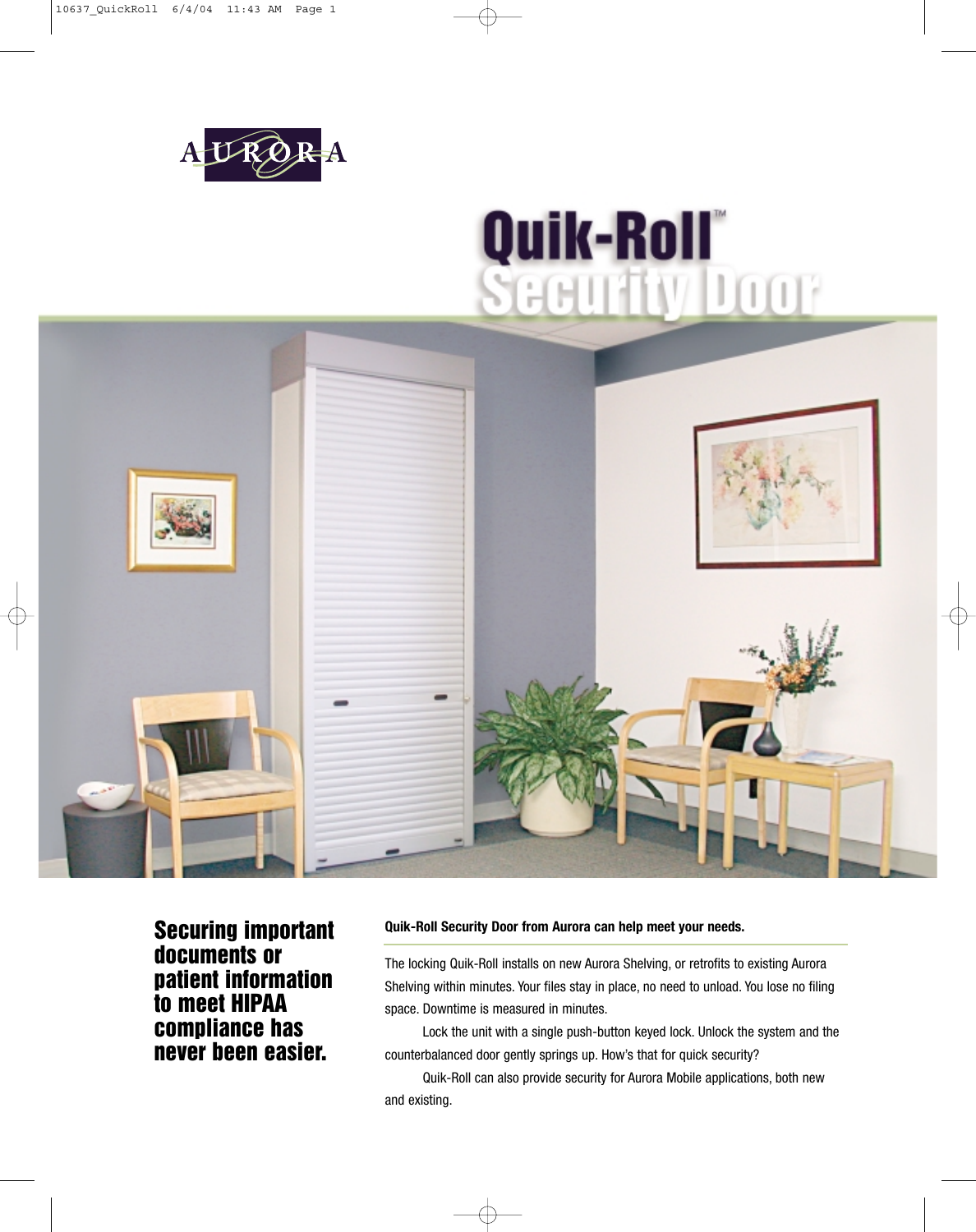

# Quik-Roll®<br>Security Door



**Securing important documents or patient information to meet HIPAA compliance has never been easier.**

#### **Quik-Roll Security Door from Aurora can help meet your needs.**

The locking Quik-Roll installs on new Aurora Shelving, or retrofits to existing Aurora Shelving within minutes. Your files stay in place, no need to unload. You lose no filing space. Downtime is measured in minutes.

Lock the unit with a single push-button keyed lock. Unlock the system and the counterbalanced door gently springs up. How's that for quick security?

Quik-Roll can also provide security for Aurora Mobile applications, both new and existing.